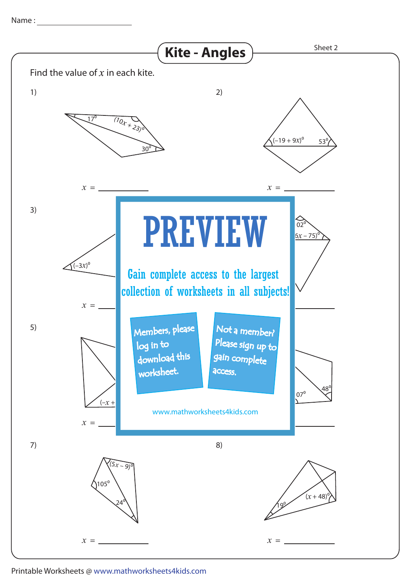